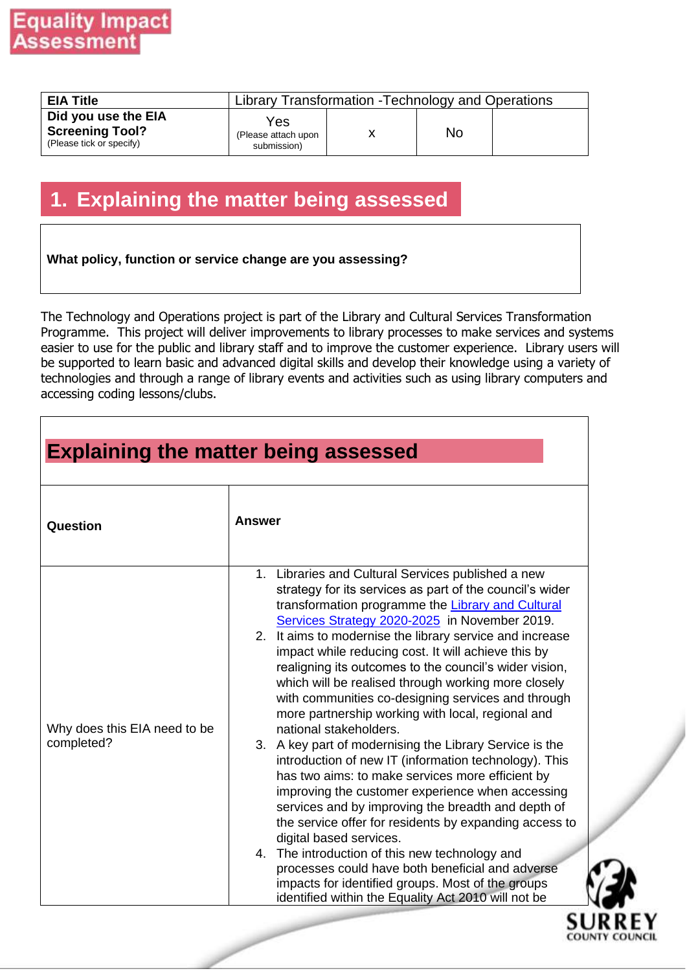| <b>EIA Title</b>                                                          |                                           | Library Transformation - Technology and Operations |    |  |  |  |
|---------------------------------------------------------------------------|-------------------------------------------|----------------------------------------------------|----|--|--|--|
| Did you use the EIA<br><b>Screening Tool?</b><br>(Please tick or specify) | Yes<br>(Please attach upon<br>submission) |                                                    | No |  |  |  |

## **1. Explaining the matter being assessed**

#### **What policy, function or service change are you assessing?**

The Technology and Operations project is part of the Library and Cultural Services Transformation Programme. This project will deliver improvements to library processes to make services and systems easier to use for the public and library staff and to improve the customer experience. Library users will be supported to learn basic and advanced digital skills and develop their knowledge using a variety of technologies and through a range of library events and activities such as using library computers and accessing coding lessons/clubs.

| Question                                   | <b>Answer</b>                                                                                                                                                                                                                                                                                                                                                                                                                                                                                                                                                                                                                                                                                                                                                                                                                                                                                                                                                                                                                                                                                                                                                                          |
|--------------------------------------------|----------------------------------------------------------------------------------------------------------------------------------------------------------------------------------------------------------------------------------------------------------------------------------------------------------------------------------------------------------------------------------------------------------------------------------------------------------------------------------------------------------------------------------------------------------------------------------------------------------------------------------------------------------------------------------------------------------------------------------------------------------------------------------------------------------------------------------------------------------------------------------------------------------------------------------------------------------------------------------------------------------------------------------------------------------------------------------------------------------------------------------------------------------------------------------------|
| Why does this EIA need to be<br>completed? | 1. Libraries and Cultural Services published a new<br>strategy for its services as part of the council's wider<br>transformation programme the Library and Cultural<br>Services Strategy 2020-2025 in November 2019.<br>2. It aims to modernise the library service and increase<br>impact while reducing cost. It will achieve this by<br>realigning its outcomes to the council's wider vision,<br>which will be realised through working more closely<br>with communities co-designing services and through<br>more partnership working with local, regional and<br>national stakeholders.<br>3. A key part of modernising the Library Service is the<br>introduction of new IT (information technology). This<br>has two aims: to make services more efficient by<br>improving the customer experience when accessing<br>services and by improving the breadth and depth of<br>the service offer for residents by expanding access to<br>digital based services.<br>4. The introduction of this new technology and<br>processes could have both beneficial and adverse<br>impacts for identified groups. Most of the groups<br>identified within the Equality Act 2010 will not be |



٦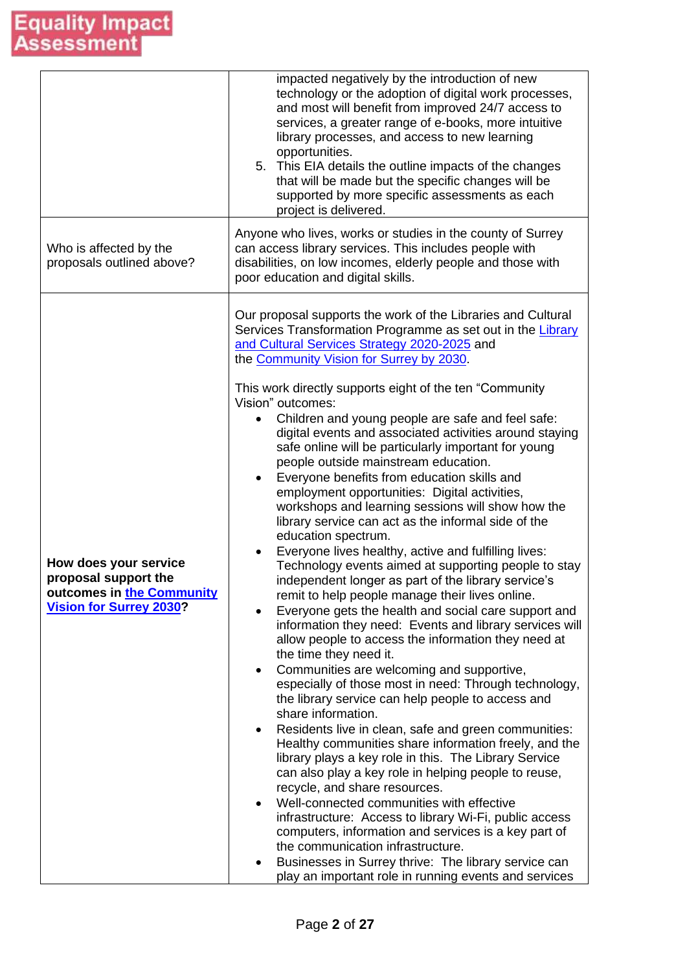|                                                                                                              | impacted negatively by the introduction of new<br>technology or the adoption of digital work processes,<br>and most will benefit from improved 24/7 access to<br>services, a greater range of e-books, more intuitive<br>library processes, and access to new learning<br>opportunities.<br>5. This EIA details the outline impacts of the changes<br>that will be made but the specific changes will be<br>supported by more specific assessments as each<br>project is delivered.                                                                                                                                                                                                                                                                                                                                                                                                                                                                                                                                                                                                                                                                                                                                                                                                                                                                                                                                                                                                                                                                                                                                                                                                                                                                                                                                                                                                                                                                                                                            |
|--------------------------------------------------------------------------------------------------------------|----------------------------------------------------------------------------------------------------------------------------------------------------------------------------------------------------------------------------------------------------------------------------------------------------------------------------------------------------------------------------------------------------------------------------------------------------------------------------------------------------------------------------------------------------------------------------------------------------------------------------------------------------------------------------------------------------------------------------------------------------------------------------------------------------------------------------------------------------------------------------------------------------------------------------------------------------------------------------------------------------------------------------------------------------------------------------------------------------------------------------------------------------------------------------------------------------------------------------------------------------------------------------------------------------------------------------------------------------------------------------------------------------------------------------------------------------------------------------------------------------------------------------------------------------------------------------------------------------------------------------------------------------------------------------------------------------------------------------------------------------------------------------------------------------------------------------------------------------------------------------------------------------------------------------------------------------------------------------------------------------------------|
| Who is affected by the<br>proposals outlined above?                                                          | Anyone who lives, works or studies in the county of Surrey<br>can access library services. This includes people with<br>disabilities, on low incomes, elderly people and those with<br>poor education and digital skills.                                                                                                                                                                                                                                                                                                                                                                                                                                                                                                                                                                                                                                                                                                                                                                                                                                                                                                                                                                                                                                                                                                                                                                                                                                                                                                                                                                                                                                                                                                                                                                                                                                                                                                                                                                                      |
| How does your service<br>proposal support the<br>outcomes in the Community<br><b>Vision for Surrey 2030?</b> | Our proposal supports the work of the Libraries and Cultural<br>Services Transformation Programme as set out in the Library<br>and Cultural Services Strategy 2020-2025 and<br>the Community Vision for Surrey by 2030.<br>This work directly supports eight of the ten "Community"<br>Vision" outcomes:<br>Children and young people are safe and feel safe:<br>digital events and associated activities around staying<br>safe online will be particularly important for young<br>people outside mainstream education.<br>Everyone benefits from education skills and<br>$\bullet$<br>employment opportunities: Digital activities,<br>workshops and learning sessions will show how the<br>library service can act as the informal side of the<br>education spectrum.<br>Everyone lives healthy, active and fulfilling lives:<br>Technology events aimed at supporting people to stay<br>independent longer as part of the library service's<br>remit to help people manage their lives online.<br>Everyone gets the health and social care support and<br>information they need: Events and library services will<br>allow people to access the information they need at<br>the time they need it.<br>Communities are welcoming and supportive,<br>٠<br>especially of those most in need: Through technology,<br>the library service can help people to access and<br>share information.<br>Residents live in clean, safe and green communities:<br>$\bullet$<br>Healthy communities share information freely, and the<br>library plays a key role in this. The Library Service<br>can also play a key role in helping people to reuse,<br>recycle, and share resources.<br>Well-connected communities with effective<br>$\bullet$<br>infrastructure: Access to library Wi-Fi, public access<br>computers, information and services is a key part of<br>the communication infrastructure.<br>Businesses in Surrey thrive: The library service can<br>play an important role in running events and services |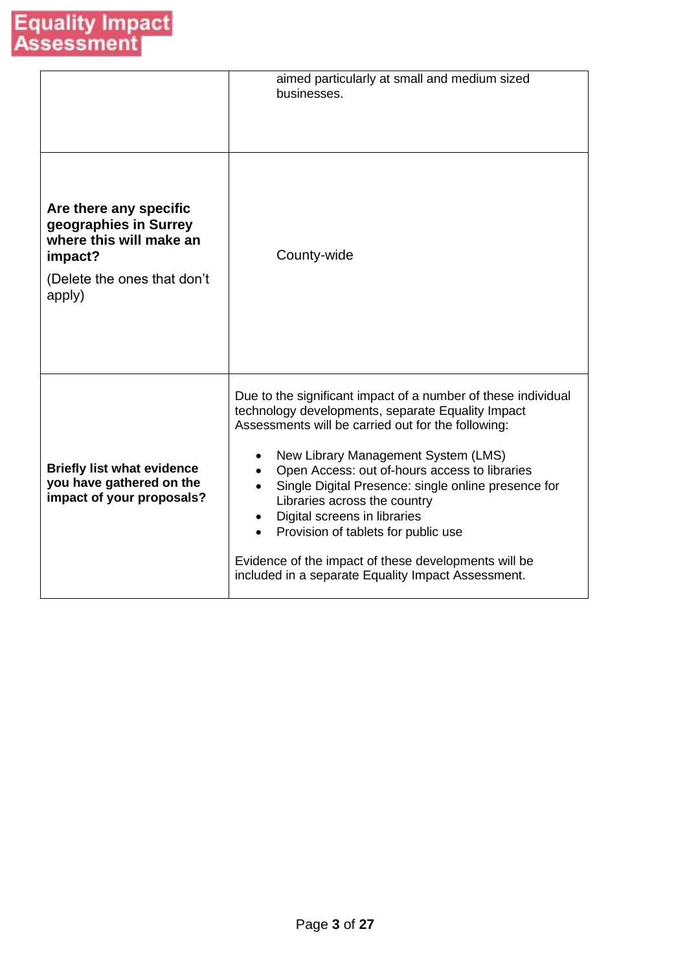|                                                                                                                                | aimed particularly at small and medium sized<br>businesses.                                                                                                                                                                                                                                                                                                                                                                                                                                                                                  |
|--------------------------------------------------------------------------------------------------------------------------------|----------------------------------------------------------------------------------------------------------------------------------------------------------------------------------------------------------------------------------------------------------------------------------------------------------------------------------------------------------------------------------------------------------------------------------------------------------------------------------------------------------------------------------------------|
| Are there any specific<br>geographies in Surrey<br>where this will make an<br>impact?<br>(Delete the ones that don't<br>apply) | County-wide                                                                                                                                                                                                                                                                                                                                                                                                                                                                                                                                  |
| <b>Briefly list what evidence</b><br>you have gathered on the<br>impact of your proposals?                                     | Due to the significant impact of a number of these individual<br>technology developments, separate Equality Impact<br>Assessments will be carried out for the following:<br>New Library Management System (LMS)<br>Open Access: out of-hours access to libraries<br>Single Digital Presence: single online presence for<br>Libraries across the country<br>Digital screens in libraries<br>Provision of tablets for public use<br>Evidence of the impact of these developments will be<br>included in a separate Equality Impact Assessment. |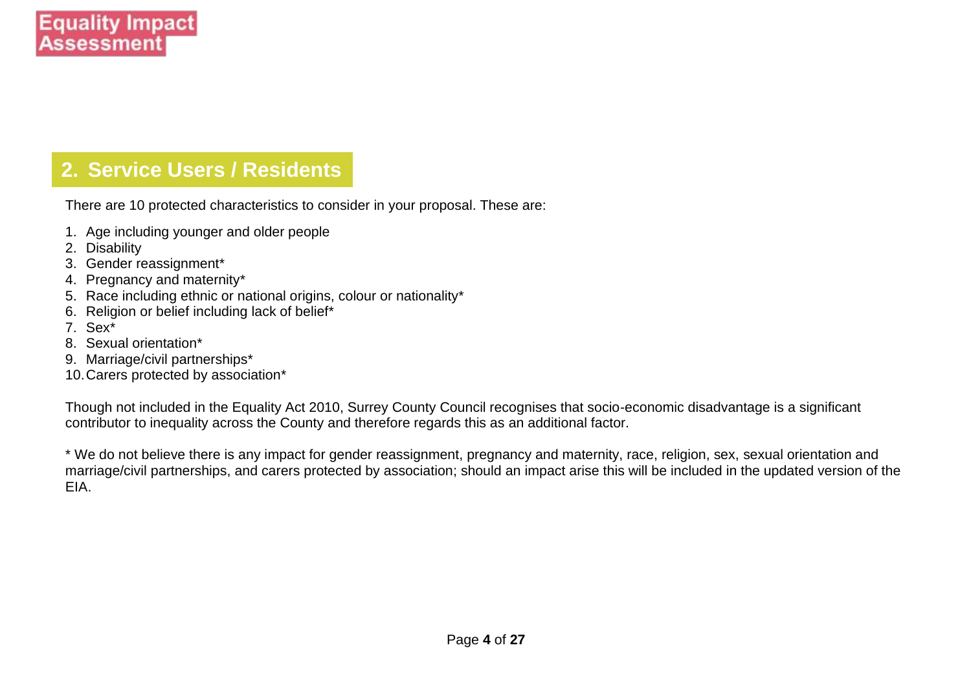## **2. Service Users / Residents**

There are 10 protected characteristics to consider in your proposal. These are:

- 1. Age including younger and older people
- 2. Disability
- 3. Gender reassignment\*
- 4. Pregnancy and maternity\*
- 5. Race including ethnic or national origins, colour or nationality\*
- 6. Religion or belief including lack of belief\*
- 7. Sex\*
- 8. Sexual orientation\*
- 9. Marriage/civil partnerships\*
- 10.Carers protected by association\*

Though not included in the Equality Act 2010, Surrey County Council recognises that socio-economic disadvantage is a significant contributor to inequality across the County and therefore regards this as an additional factor.

\* We do not believe there is any impact for gender reassignment, pregnancy and maternity, race, religion, sex, sexual orientation and marriage/civil partnerships, and carers protected by association; should an impact arise this will be included in the updated version of the EIA.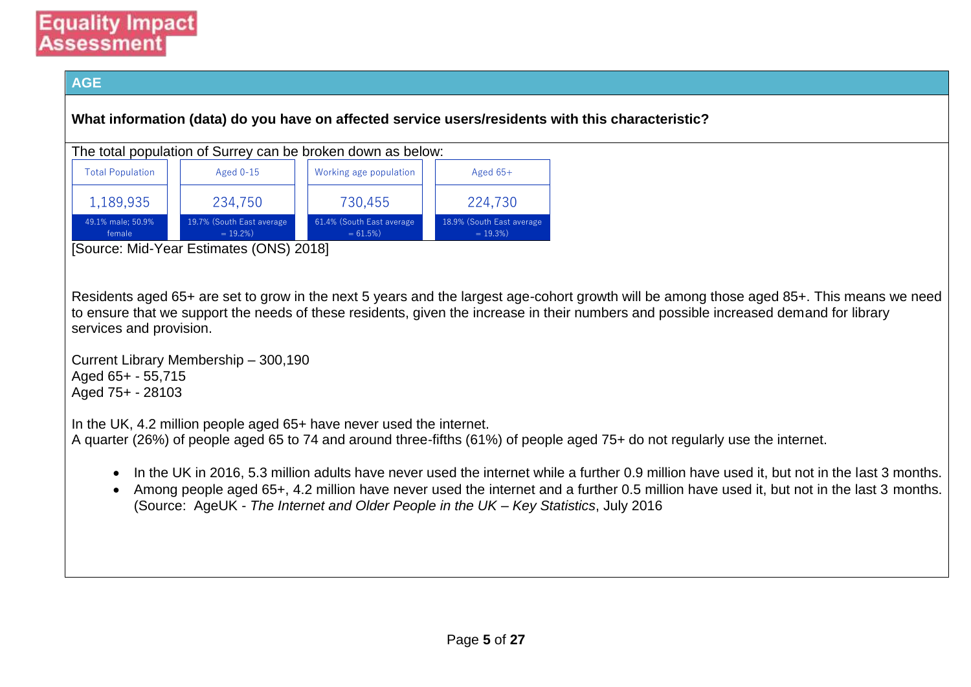### **Equality Impact** Assessment

#### **AGE**

**What information (data) do you have on affected service users/residents with this characteristic?**

| The total population of Surrey can be broken down as below: |  |                                          |  |                                          |  |                                           |
|-------------------------------------------------------------|--|------------------------------------------|--|------------------------------------------|--|-------------------------------------------|
| <b>Total Population</b>                                     |  | Aged $0-15$                              |  | Working age population                   |  | Aged $65+$                                |
| 1,189,935                                                   |  | 234,750                                  |  | 730,455                                  |  | 224,730                                   |
| 49.1% male: 50.9%<br>female                                 |  | 19.7% (South East average<br>$= 19.2\%)$ |  | 61.4% (South East average<br>$= 61.5\%)$ |  | 18.9% (South East average)<br>$= 19.3\%)$ |

[Source: Mid-Year Estimates (ONS) 2018]

Residents aged 65+ are set to grow in the next 5 years and the largest age-cohort growth will be among those aged 85+. This means we need to ensure that we support the needs of these residents, given the increase in their numbers and possible increased demand for library services and provision.

Current Library Membership – 300,190 Aged 65+ - 55,715 Aged 75+ - 28103

In the UK, 4.2 million people aged 65+ have never used the internet.

A quarter (26%) of people aged 65 to 74 and around three-fifths (61%) of people aged 75+ do not regularly use the internet.

- In the UK in 2016, 5.3 million adults have never used the internet while a further 0.9 million have used it, but not in the last 3 months.
- Among people aged 65+, 4.2 million have never used the internet and a further 0.5 million have used it, but not in the last 3 months. (Source: AgeUK - *The Internet and Older People in the UK – Key Statistics*, July 2016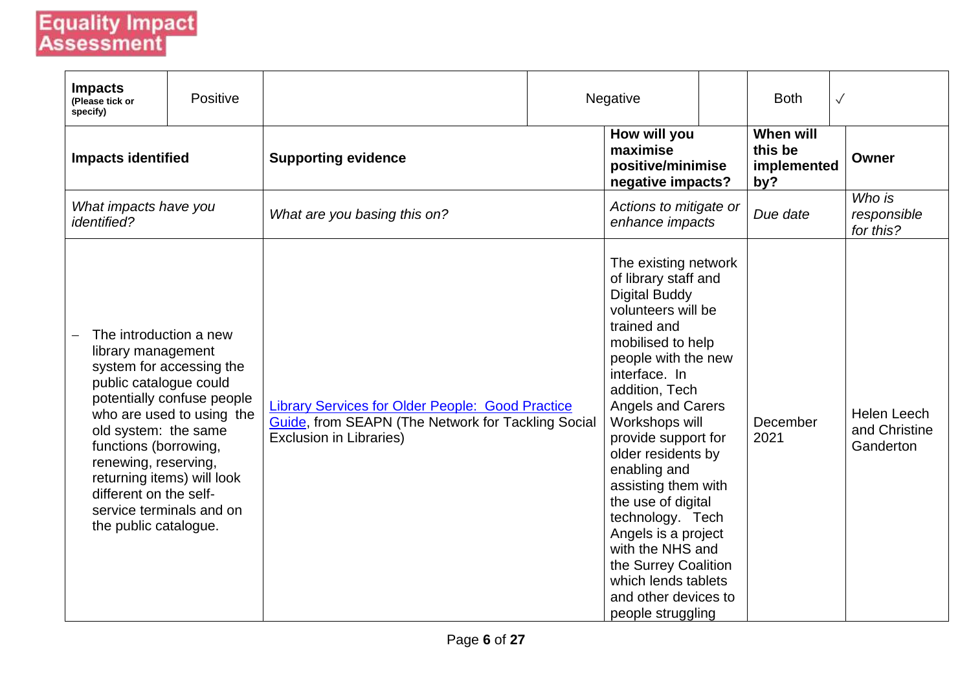# **Equality Impact**<br>Assessment

| <b>Impacts</b><br>(Please tick or<br>specify)                                                                                                                                                      | Positive                                                                                                                                      |                                                                                                                                                 | Negative                                                                                                                                                                                                                                                                                                                                                                                                                                                                                                    | <b>Both</b>                                | $\sqrt{}$                                        |
|----------------------------------------------------------------------------------------------------------------------------------------------------------------------------------------------------|-----------------------------------------------------------------------------------------------------------------------------------------------|-------------------------------------------------------------------------------------------------------------------------------------------------|-------------------------------------------------------------------------------------------------------------------------------------------------------------------------------------------------------------------------------------------------------------------------------------------------------------------------------------------------------------------------------------------------------------------------------------------------------------------------------------------------------------|--------------------------------------------|--------------------------------------------------|
| <b>Impacts identified</b>                                                                                                                                                                          |                                                                                                                                               | <b>Supporting evidence</b>                                                                                                                      | How will you<br>maximise<br>positive/minimise<br>negative impacts?                                                                                                                                                                                                                                                                                                                                                                                                                                          | When will<br>this be<br>implemented<br>by? | Owner                                            |
| What impacts have you<br><i>identified?</i>                                                                                                                                                        |                                                                                                                                               | What are you basing this on?                                                                                                                    | Actions to mitigate or<br>enhance impacts                                                                                                                                                                                                                                                                                                                                                                                                                                                                   | Due date                                   | Who is<br>responsible<br>for this?               |
| The introduction a new<br>library management<br>public catalogue could<br>old system: the same<br>functions (borrowing,<br>renewing, reserving,<br>different on the self-<br>the public catalogue. | system for accessing the<br>potentially confuse people<br>who are used to using the<br>returning items) will look<br>service terminals and on | <b>Library Services for Older People: Good Practice</b><br>Guide, from SEAPN (The Network for Tackling Social<br><b>Exclusion in Libraries)</b> | The existing network<br>of library staff and<br><b>Digital Buddy</b><br>volunteers will be<br>trained and<br>mobilised to help<br>people with the new<br>interface. In<br>addition, Tech<br><b>Angels and Carers</b><br>Workshops will<br>provide support for<br>older residents by<br>enabling and<br>assisting them with<br>the use of digital<br>technology. Tech<br>Angels is a project<br>with the NHS and<br>the Surrey Coalition<br>which lends tablets<br>and other devices to<br>people struggling | December<br>2021                           | <b>Helen Leech</b><br>and Christine<br>Ganderton |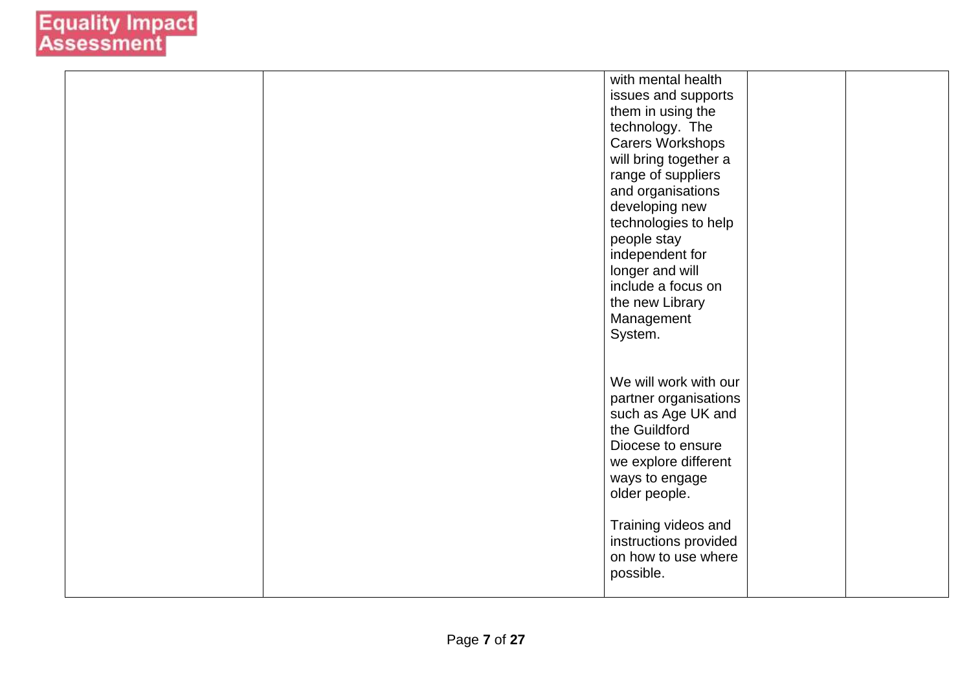|  | with mental health      |  |
|--|-------------------------|--|
|  | issues and supports     |  |
|  | them in using the       |  |
|  | technology. The         |  |
|  | <b>Carers Workshops</b> |  |
|  | will bring together a   |  |
|  | range of suppliers      |  |
|  | and organisations       |  |
|  | developing new          |  |
|  | technologies to help    |  |
|  | people stay             |  |
|  | independent for         |  |
|  | longer and will         |  |
|  | include a focus on      |  |
|  | the new Library         |  |
|  | Management              |  |
|  | System.                 |  |
|  |                         |  |
|  |                         |  |
|  | We will work with our   |  |
|  | partner organisations   |  |
|  | such as Age UK and      |  |
|  | the Guildford           |  |
|  | Diocese to ensure       |  |
|  | we explore different    |  |
|  | ways to engage          |  |
|  | older people.           |  |
|  |                         |  |
|  | Training videos and     |  |
|  | instructions provided   |  |
|  | on how to use where     |  |
|  | possible.               |  |
|  |                         |  |
|  |                         |  |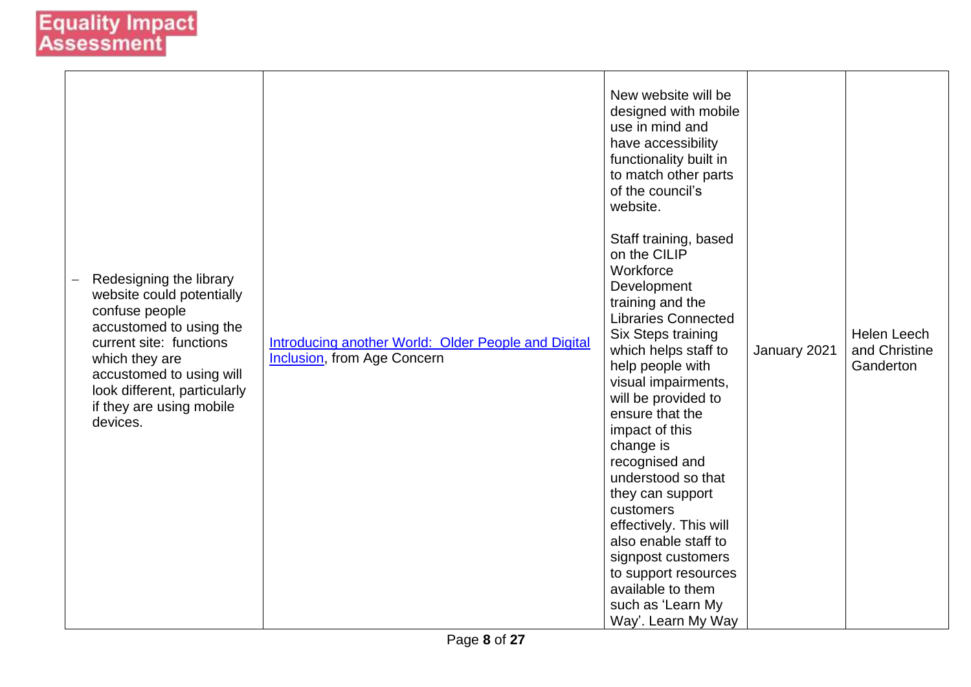| Redesigning the library<br>website could potentially<br>confuse people<br>accustomed to using the<br>current site: functions<br>which they are<br>accustomed to using will<br>look different, particularly<br>if they are using mobile<br>devices. | Introducing another World: Older People and Digital<br>Inclusion, from Age Concern | New website will be<br>designed with mobile<br>use in mind and<br>have accessibility<br>functionality built in<br>to match other parts<br>of the council's<br>website.<br>Staff training, based<br>on the CILIP<br>Workforce<br>Development<br>training and the<br><b>Libraries Connected</b><br>Six Steps training<br>which helps staff to<br>help people with<br>visual impairments,<br>will be provided to<br>ensure that the<br>impact of this<br>change is<br>recognised and<br>understood so that<br>they can support<br>customers<br>effectively. This will<br>also enable staff to<br>signpost customers<br>to support resources<br>available to them<br>such as 'Learn My<br>Way'. Learn My Way | January 2021 | <b>Helen Leech</b><br>and Christine<br>Ganderton |
|----------------------------------------------------------------------------------------------------------------------------------------------------------------------------------------------------------------------------------------------------|------------------------------------------------------------------------------------|----------------------------------------------------------------------------------------------------------------------------------------------------------------------------------------------------------------------------------------------------------------------------------------------------------------------------------------------------------------------------------------------------------------------------------------------------------------------------------------------------------------------------------------------------------------------------------------------------------------------------------------------------------------------------------------------------------|--------------|--------------------------------------------------|
|----------------------------------------------------------------------------------------------------------------------------------------------------------------------------------------------------------------------------------------------------|------------------------------------------------------------------------------------|----------------------------------------------------------------------------------------------------------------------------------------------------------------------------------------------------------------------------------------------------------------------------------------------------------------------------------------------------------------------------------------------------------------------------------------------------------------------------------------------------------------------------------------------------------------------------------------------------------------------------------------------------------------------------------------------------------|--------------|--------------------------------------------------|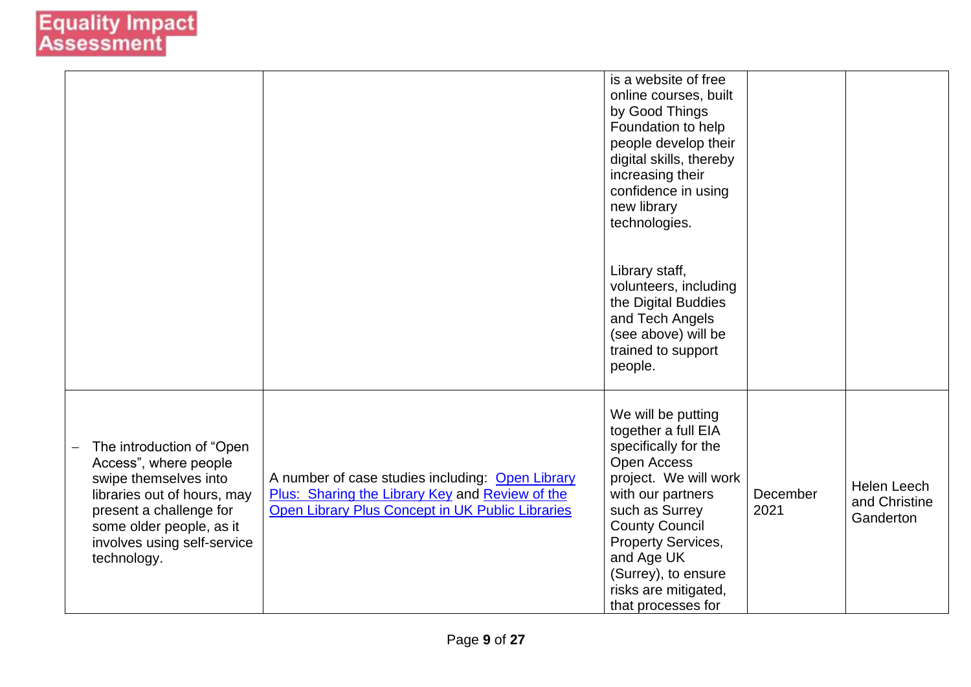|                                                                                                                                                                                                                 |                                                                                                                                                         | is a website of free<br>online courses, built<br>by Good Things<br>Foundation to help<br>people develop their<br>digital skills, thereby<br>increasing their<br>confidence in using<br>new library<br>technologies.                                                                       |                  |                                           |
|-----------------------------------------------------------------------------------------------------------------------------------------------------------------------------------------------------------------|---------------------------------------------------------------------------------------------------------------------------------------------------------|-------------------------------------------------------------------------------------------------------------------------------------------------------------------------------------------------------------------------------------------------------------------------------------------|------------------|-------------------------------------------|
|                                                                                                                                                                                                                 |                                                                                                                                                         | Library staff,<br>volunteers, including<br>the Digital Buddies<br>and Tech Angels<br>(see above) will be<br>trained to support<br>people.                                                                                                                                                 |                  |                                           |
| The introduction of "Open<br>Access", where people<br>swipe themselves into<br>libraries out of hours, may<br>present a challenge for<br>some older people, as it<br>involves using self-service<br>technology. | A number of case studies including: Open Library<br>Plus: Sharing the Library Key and Review of the<br>Open Library Plus Concept in UK Public Libraries | We will be putting<br>together a full EIA<br>specifically for the<br><b>Open Access</b><br>project. We will work<br>with our partners<br>such as Surrey<br><b>County Council</b><br>Property Services,<br>and Age UK<br>(Surrey), to ensure<br>risks are mitigated,<br>that processes for | December<br>2021 | Helen Leech<br>and Christine<br>Ganderton |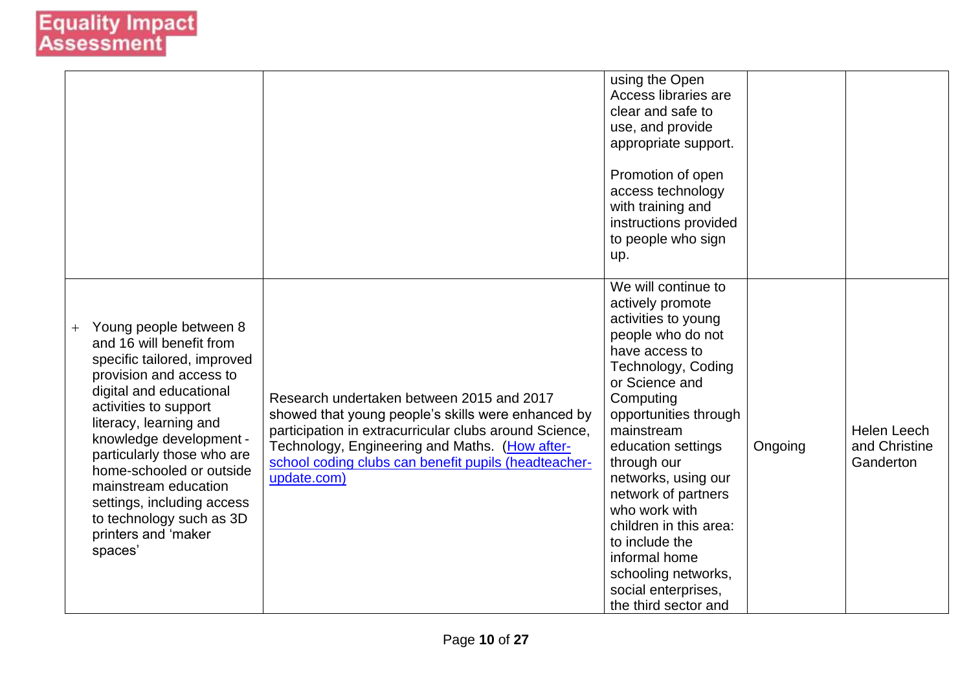|                                                                                                                                                                                                                                                                                                                                                                                                     |                                                                                                                                                                                                                                                                                    | using the Open<br>Access libraries are<br>clear and safe to<br>use, and provide<br>appropriate support.<br>Promotion of open<br>access technology<br>with training and<br>instructions provided<br>to people who sign<br>up.                                                                                                                                                                                                             |         |                                           |
|-----------------------------------------------------------------------------------------------------------------------------------------------------------------------------------------------------------------------------------------------------------------------------------------------------------------------------------------------------------------------------------------------------|------------------------------------------------------------------------------------------------------------------------------------------------------------------------------------------------------------------------------------------------------------------------------------|------------------------------------------------------------------------------------------------------------------------------------------------------------------------------------------------------------------------------------------------------------------------------------------------------------------------------------------------------------------------------------------------------------------------------------------|---------|-------------------------------------------|
| Young people between 8<br>and 16 will benefit from<br>specific tailored, improved<br>provision and access to<br>digital and educational<br>activities to support<br>literacy, learning and<br>knowledge development -<br>particularly those who are<br>home-schooled or outside<br>mainstream education<br>settings, including access<br>to technology such as 3D<br>printers and 'maker<br>spaces' | Research undertaken between 2015 and 2017<br>showed that young people's skills were enhanced by<br>participation in extracurricular clubs around Science,<br>Technology, Engineering and Maths. (How after-<br>school coding clubs can benefit pupils (headteacher-<br>update.com) | We will continue to<br>actively promote<br>activities to young<br>people who do not<br>have access to<br>Technology, Coding<br>or Science and<br>Computing<br>opportunities through<br>mainstream<br>education settings<br>through our<br>networks, using our<br>network of partners<br>who work with<br>children in this area:<br>to include the<br>informal home<br>schooling networks,<br>social enterprises,<br>the third sector and | Ongoing | Helen Leech<br>and Christine<br>Ganderton |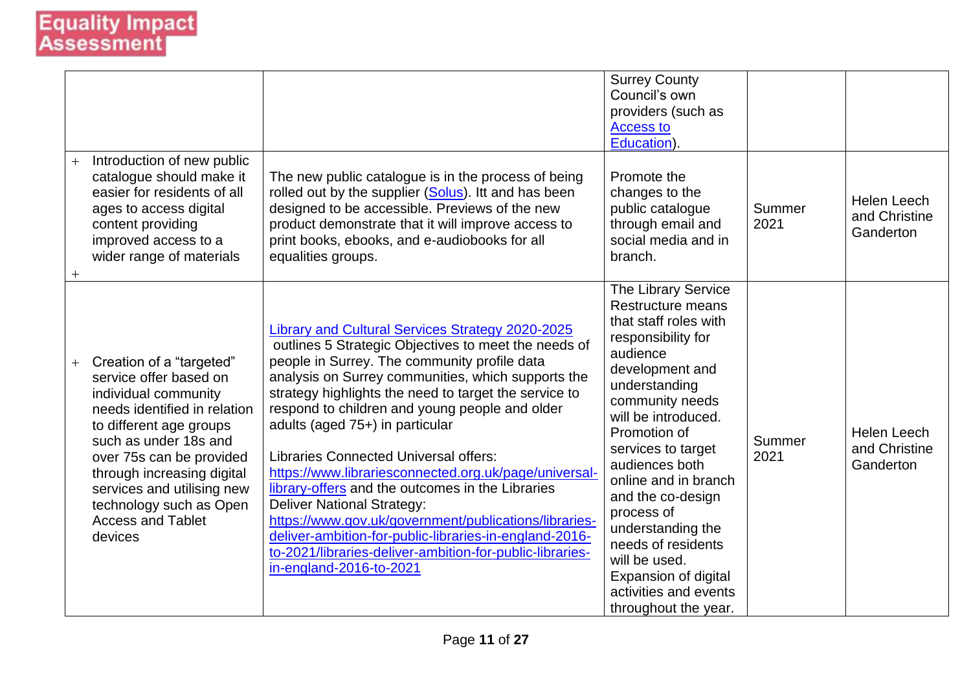|               |                                                                                                                                                                                                                                                                                                                          |                                                                                                                                                                                                                                                                                                                                                                                                                                                                                                                                                                                                                                                                                                                                                                          | <b>Surrey County</b><br>Council's own<br>providers (such as<br><b>Access to</b><br>Education).                                                                                                                                                                                                                                                                                                                                            |                |                                                  |
|---------------|--------------------------------------------------------------------------------------------------------------------------------------------------------------------------------------------------------------------------------------------------------------------------------------------------------------------------|--------------------------------------------------------------------------------------------------------------------------------------------------------------------------------------------------------------------------------------------------------------------------------------------------------------------------------------------------------------------------------------------------------------------------------------------------------------------------------------------------------------------------------------------------------------------------------------------------------------------------------------------------------------------------------------------------------------------------------------------------------------------------|-------------------------------------------------------------------------------------------------------------------------------------------------------------------------------------------------------------------------------------------------------------------------------------------------------------------------------------------------------------------------------------------------------------------------------------------|----------------|--------------------------------------------------|
| $+$<br>$^{+}$ | Introduction of new public<br>catalogue should make it<br>easier for residents of all<br>ages to access digital<br>content providing<br>improved access to a<br>wider range of materials                                                                                                                                 | The new public catalogue is in the process of being<br>rolled out by the supplier (Solus). Itt and has been<br>designed to be accessible. Previews of the new<br>product demonstrate that it will improve access to<br>print books, ebooks, and e-audiobooks for all<br>equalities groups.                                                                                                                                                                                                                                                                                                                                                                                                                                                                               | Promote the<br>changes to the<br>public catalogue<br>through email and<br>social media and in<br>branch.                                                                                                                                                                                                                                                                                                                                  | Summer<br>2021 | <b>Helen Leech</b><br>and Christine<br>Ganderton |
| $+$           | Creation of a "targeted"<br>service offer based on<br>individual community<br>needs identified in relation<br>to different age groups<br>such as under 18s and<br>over 75s can be provided<br>through increasing digital<br>services and utilising new<br>technology such as Open<br><b>Access and Tablet</b><br>devices | Library and Cultural Services Strategy 2020-2025<br>outlines 5 Strategic Objectives to meet the needs of<br>people in Surrey. The community profile data<br>analysis on Surrey communities, which supports the<br>strategy highlights the need to target the service to<br>respond to children and young people and older<br>adults (aged 75+) in particular<br><b>Libraries Connected Universal offers:</b><br>https://www.librariesconnected.org.uk/page/universal-<br>library-offers and the outcomes in the Libraries<br><b>Deliver National Strategy:</b><br>https://www.gov.uk/government/publications/libraries-<br>deliver-ambition-for-public-libraries-in-england-2016-<br>to-2021/libraries-deliver-ambition-for-public-libraries-<br>in-england-2016-to-2021 | The Library Service<br>Restructure means<br>that staff roles with<br>responsibility for<br>audience<br>development and<br>understanding<br>community needs<br>will be introduced.<br>Promotion of<br>services to target<br>audiences both<br>online and in branch<br>and the co-design<br>process of<br>understanding the<br>needs of residents<br>will be used.<br>Expansion of digital<br>activities and events<br>throughout the year. | Summer<br>2021 | <b>Helen Leech</b><br>and Christine<br>Ganderton |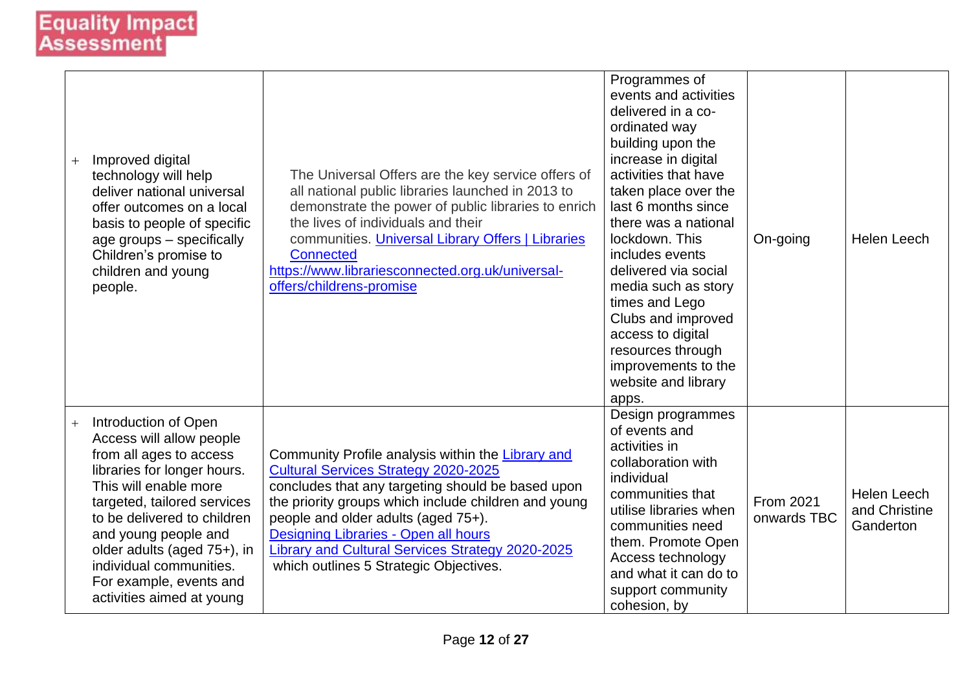| $^{+}$ | Improved digital<br>technology will help<br>deliver national universal<br>offer outcomes on a local<br>basis to people of specific<br>age groups - specifically<br>Children's promise to<br>children and young<br>people.                                                                                                                   | The Universal Offers are the key service offers of<br>all national public libraries launched in 2013 to<br>demonstrate the power of public libraries to enrich<br>the lives of individuals and their<br>communities. Universal Library Offers   Libraries<br><b>Connected</b><br>https://www.librariesconnected.org.uk/universal-<br>offers/childrens-promise                              | Programmes of<br>events and activities<br>delivered in a co-<br>ordinated way<br>building upon the<br>increase in digital<br>activities that have<br>taken place over the<br>last 6 months since<br>there was a national<br>lockdown. This<br>includes events<br>delivered via social<br>media such as story<br>times and Lego<br>Clubs and improved<br>access to digital<br>resources through<br>improvements to the<br>website and library<br>apps. | On-going                 | Helen Leech                                      |
|--------|---------------------------------------------------------------------------------------------------------------------------------------------------------------------------------------------------------------------------------------------------------------------------------------------------------------------------------------------|--------------------------------------------------------------------------------------------------------------------------------------------------------------------------------------------------------------------------------------------------------------------------------------------------------------------------------------------------------------------------------------------|-------------------------------------------------------------------------------------------------------------------------------------------------------------------------------------------------------------------------------------------------------------------------------------------------------------------------------------------------------------------------------------------------------------------------------------------------------|--------------------------|--------------------------------------------------|
| $+$    | Introduction of Open<br>Access will allow people<br>from all ages to access<br>libraries for longer hours.<br>This will enable more<br>targeted, tailored services<br>to be delivered to children<br>and young people and<br>older adults (aged 75+), in<br>individual communities.<br>For example, events and<br>activities aimed at young | Community Profile analysis within the Library and<br><b>Cultural Services Strategy 2020-2025</b><br>concludes that any targeting should be based upon<br>the priority groups which include children and young<br>people and older adults (aged 75+).<br>Designing Libraries - Open all hours<br>Library and Cultural Services Strategy 2020-2025<br>which outlines 5 Strategic Objectives. | Design programmes<br>of events and<br>activities in<br>collaboration with<br>individual<br>communities that<br>utilise libraries when<br>communities need<br>them. Promote Open<br>Access technology<br>and what it can do to<br>support community<br>cohesion, by                                                                                                                                                                                    | From 2021<br>onwards TBC | <b>Helen Leech</b><br>and Christine<br>Ganderton |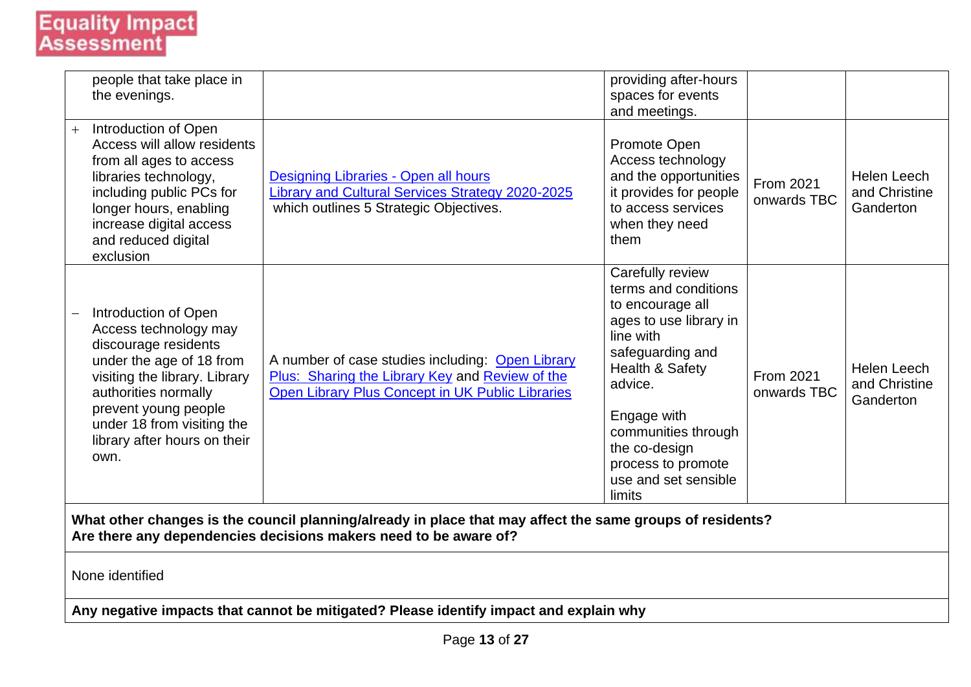# **Equality Impact**<br>Assessment

| people that take place in<br>the evenings.                                                                                                                                                                                                               |                                                                                                                                                         | providing after-hours<br>spaces for events<br>and meetings.                                                                                                                                                                                                          |                                 |                                                  |  |  |
|----------------------------------------------------------------------------------------------------------------------------------------------------------------------------------------------------------------------------------------------------------|---------------------------------------------------------------------------------------------------------------------------------------------------------|----------------------------------------------------------------------------------------------------------------------------------------------------------------------------------------------------------------------------------------------------------------------|---------------------------------|--------------------------------------------------|--|--|
| Introduction of Open<br>$+$<br>Access will allow residents<br>from all ages to access<br>libraries technology,<br>including public PCs for<br>longer hours, enabling<br>increase digital access<br>and reduced digital<br>exclusion                      | Designing Libraries - Open all hours<br>Library and Cultural Services Strategy 2020-2025<br>which outlines 5 Strategic Objectives.                      | Promote Open<br>Access technology<br>and the opportunities<br>it provides for people<br>to access services<br>when they need<br>them                                                                                                                                 | <b>From 2021</b><br>onwards TBC | <b>Helen Leech</b><br>and Christine<br>Ganderton |  |  |
| Introduction of Open<br>Access technology may<br>discourage residents<br>under the age of 18 from<br>visiting the library. Library<br>authorities normally<br>prevent young people<br>under 18 from visiting the<br>library after hours on their<br>own. | A number of case studies including: Open Library<br>Plus: Sharing the Library Key and Review of the<br>Open Library Plus Concept in UK Public Libraries | Carefully review<br>terms and conditions<br>to encourage all<br>ages to use library in<br>line with<br>safeguarding and<br>Health & Safety<br>advice.<br>Engage with<br>communities through<br>the co-design<br>process to promote<br>use and set sensible<br>limits | <b>From 2021</b><br>onwards TBC | Helen Leech<br>and Christine<br>Ganderton        |  |  |
| What other changes is the council planning/already in place that may affect the same groups of residents?<br>Are there any dependencies decisions makers need to be aware of?                                                                            |                                                                                                                                                         |                                                                                                                                                                                                                                                                      |                                 |                                                  |  |  |
| None identified                                                                                                                                                                                                                                          |                                                                                                                                                         |                                                                                                                                                                                                                                                                      |                                 |                                                  |  |  |
|                                                                                                                                                                                                                                                          | Any negative impacts that cannot be mitigated? Please identify impact and explain why                                                                   |                                                                                                                                                                                                                                                                      |                                 |                                                  |  |  |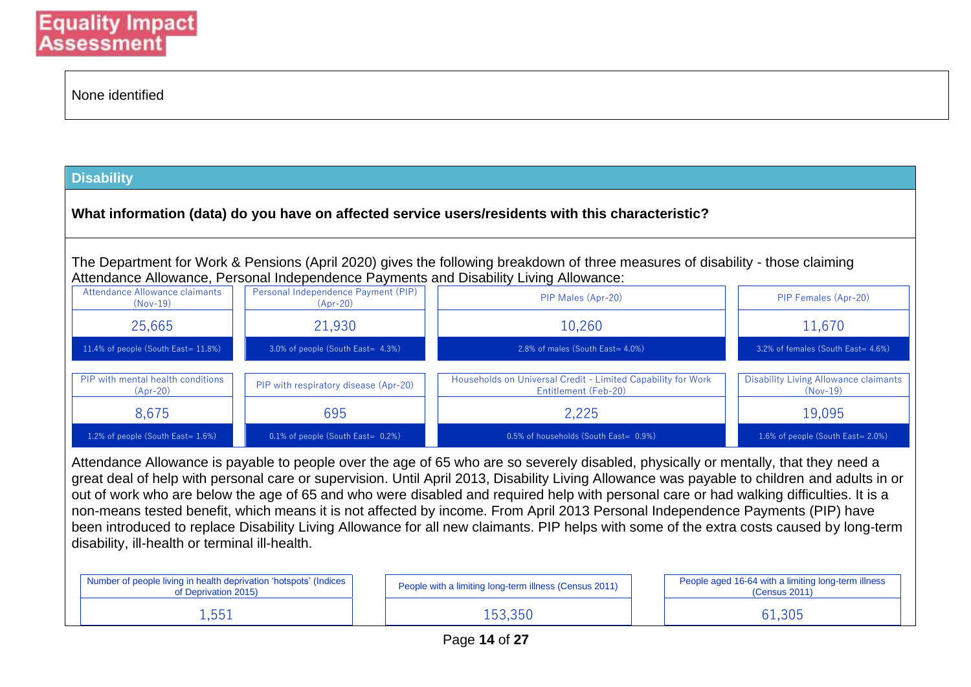| None identified |  |
|-----------------|--|
|-----------------|--|

#### **Disability**

**What information (data) do you have on affected service users/residents with this characteristic?**

The Department for Work & Pensions (April 2020) gives the following breakdown of three measures of disability - those claiming Attendance Allowance, Personal Independence Payments and Disability Living Allowance:

| Attendance Allowance claimants<br>$(Nov-19)$    | Personal Independence Payment (PIP)<br>$(Apr-20)$ | PIP Males (Apr-20)                                                                   | PIP Females (Apr-20)                                |
|-------------------------------------------------|---------------------------------------------------|--------------------------------------------------------------------------------------|-----------------------------------------------------|
| 25,665                                          | 21,930                                            | 10,260                                                                               | 11,670                                              |
| 11.4% of people (South East= 11.8%)             | 3.0% of people (South East= 4.3%)                 | 2.8% of males (South East= 4.0%)                                                     | 3.2% of females (South East= 4.6%)                  |
| PIP with mental health conditions<br>$(Apr-20)$ | PIP with respiratory disease (Apr-20)             | Households on Universal Credit - Limited Capability for Work<br>Entitlement (Feb-20) | Disability Living Allowance claimants<br>$(Nov-19)$ |
| 8.675                                           | 695                                               | 2.225                                                                                | 19,095                                              |
| 1.2% of people (South East= $1.6\%$ )           | $0.1\%$ of people (South East= $0.2\%$ )          | 0.5% of households (South East= 0.9%)                                                | 1.6% of people (South East= 2.0%)                   |

Attendance Allowance is payable to people over the age of 65 who are so severely disabled, physically or mentally, that they need a great deal of help with personal care or supervision. Until April 2013, Disability Living Allowance was payable to children and adults in or out of work who are below the age of 65 and who were disabled and required help with personal care or had walking difficulties. It is a non-means tested benefit, which means it is not affected by income. From April 2013 Personal Independence Payments (PIP) have been introduced to replace Disability Living Allowance for all new claimants. PIP helps with some of the extra costs caused by long-term disability, ill-health or terminal ill-health.

| Number of people living in health deprivation 'hotspots' (Indices<br>of Deprivation 2015) |  | People with a limiting long-term illness (Census 2011) | People aged 16-64 with a limiting long-term illness<br>(Census 2011) |
|-------------------------------------------------------------------------------------------|--|--------------------------------------------------------|----------------------------------------------------------------------|
| l,551                                                                                     |  | .53.350                                                | 61,305                                                               |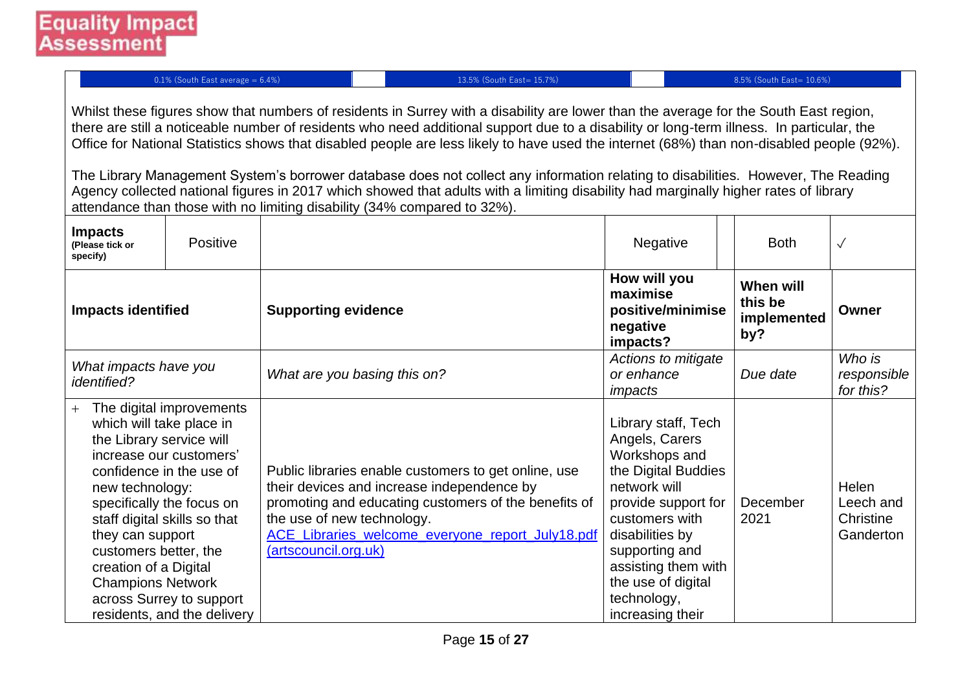0.1% (South East average = 6.4%) 13.5% (South East= 15.7%) 8.5% (South East= 10.6%)

Whilst these figures show that numbers of residents in Surrey with a disability are lower than the average for the South East region, there are still a noticeable number of residents who need additional support due to a disability or long-term illness. In particular, the Office for National Statistics shows that disabled people are less likely to have used the internet (68%) than non-disabled people (92%).

The Library Management System's borrower database does not collect any information relating to disabilities. However, The Reading Agency collected national figures in 2017 which showed that adults with a limiting disability had marginally higher rates of library attendance than those with no limiting disability (34% compared to 32%).

| <b>Impacts</b><br>(Please tick or<br>specify)                                                                                                                             | Positive                                                                                                                                                                                                |                                                                                                                                                                                                                                                                      | Negative                                                                                                                                                                                                                                                    | <b>Both</b>                                | $\checkmark$                                 |
|---------------------------------------------------------------------------------------------------------------------------------------------------------------------------|---------------------------------------------------------------------------------------------------------------------------------------------------------------------------------------------------------|----------------------------------------------------------------------------------------------------------------------------------------------------------------------------------------------------------------------------------------------------------------------|-------------------------------------------------------------------------------------------------------------------------------------------------------------------------------------------------------------------------------------------------------------|--------------------------------------------|----------------------------------------------|
| <b>Impacts identified</b>                                                                                                                                                 |                                                                                                                                                                                                         | <b>Supporting evidence</b>                                                                                                                                                                                                                                           | How will you<br>maximise<br>positive/minimise<br>negative<br>impacts?                                                                                                                                                                                       | When will<br>this be<br>implemented<br>by? | Owner                                        |
| What impacts have you<br><i>identified?</i>                                                                                                                               |                                                                                                                                                                                                         | What are you basing this on?                                                                                                                                                                                                                                         | Actions to mitigate<br>or enhance<br>impacts                                                                                                                                                                                                                | Due date                                   | Who is<br>responsible<br>for this?           |
| which will take place in<br>the Library service will<br>new technology:<br>they can support<br>customers better, the<br>creation of a Digital<br><b>Champions Network</b> | The digital improvements<br>increase our customers'<br>confidence in the use of<br>specifically the focus on<br>staff digital skills so that<br>across Surrey to support<br>residents, and the delivery | Public libraries enable customers to get online, use<br>their devices and increase independence by<br>promoting and educating customers of the benefits of<br>the use of new technology.<br>ACE_Libraries_welcome_everyone_report_July18.pdf<br>(artscouncil.org.uk) | Library staff, Tech<br>Angels, Carers<br>Workshops and<br>the Digital Buddies<br>network will<br>provide support for<br>customers with<br>disabilities by<br>supporting and<br>assisting them with<br>the use of digital<br>technology,<br>increasing their | December<br>2021                           | Helen<br>Leech and<br>Christine<br>Ganderton |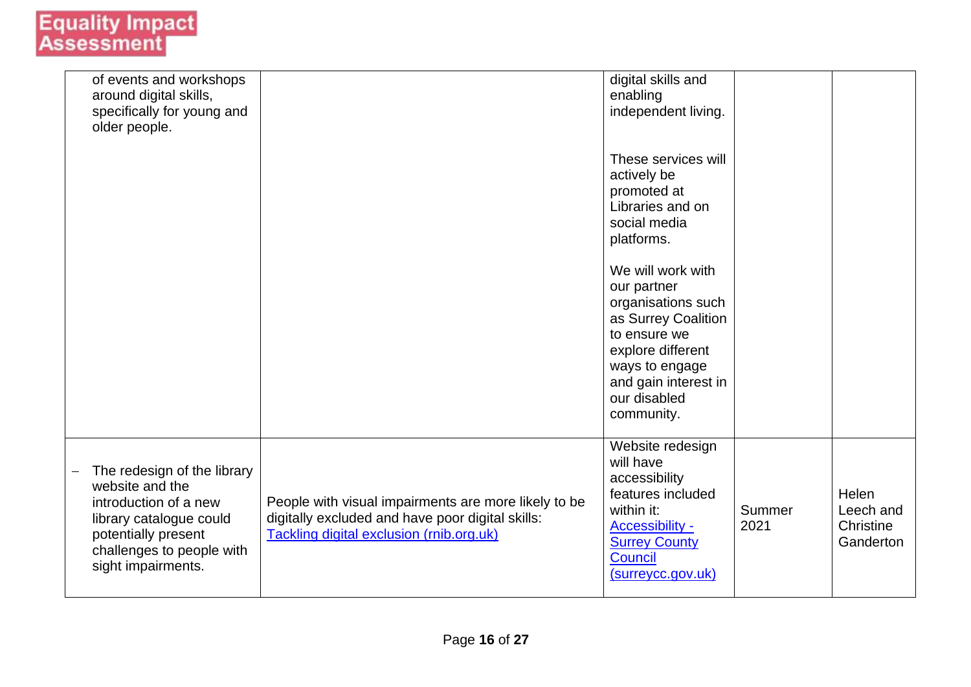| of events and workshops<br>around digital skills,<br>specifically for young and<br>older people.                                                                             |                                                                                                                                                      | digital skills and<br>enabling<br>independent living.                                                                                                                                      |                |                                              |
|------------------------------------------------------------------------------------------------------------------------------------------------------------------------------|------------------------------------------------------------------------------------------------------------------------------------------------------|--------------------------------------------------------------------------------------------------------------------------------------------------------------------------------------------|----------------|----------------------------------------------|
|                                                                                                                                                                              |                                                                                                                                                      | These services will<br>actively be<br>promoted at<br>Libraries and on<br>social media<br>platforms.                                                                                        |                |                                              |
|                                                                                                                                                                              |                                                                                                                                                      | We will work with<br>our partner<br>organisations such<br>as Surrey Coalition<br>to ensure we<br>explore different<br>ways to engage<br>and gain interest in<br>our disabled<br>community. |                |                                              |
| The redesign of the library<br>website and the<br>introduction of a new<br>library catalogue could<br>potentially present<br>challenges to people with<br>sight impairments. | People with visual impairments are more likely to be<br>digitally excluded and have poor digital skills:<br>Tackling digital exclusion (rnib.org.uk) | Website redesign<br>will have<br>accessibility<br>features included<br>within it:<br><b>Accessibility -</b><br><b>Surrey County</b><br><b>Council</b><br>(surreycc.gov.uk)                 | Summer<br>2021 | Helen<br>Leech and<br>Christine<br>Ganderton |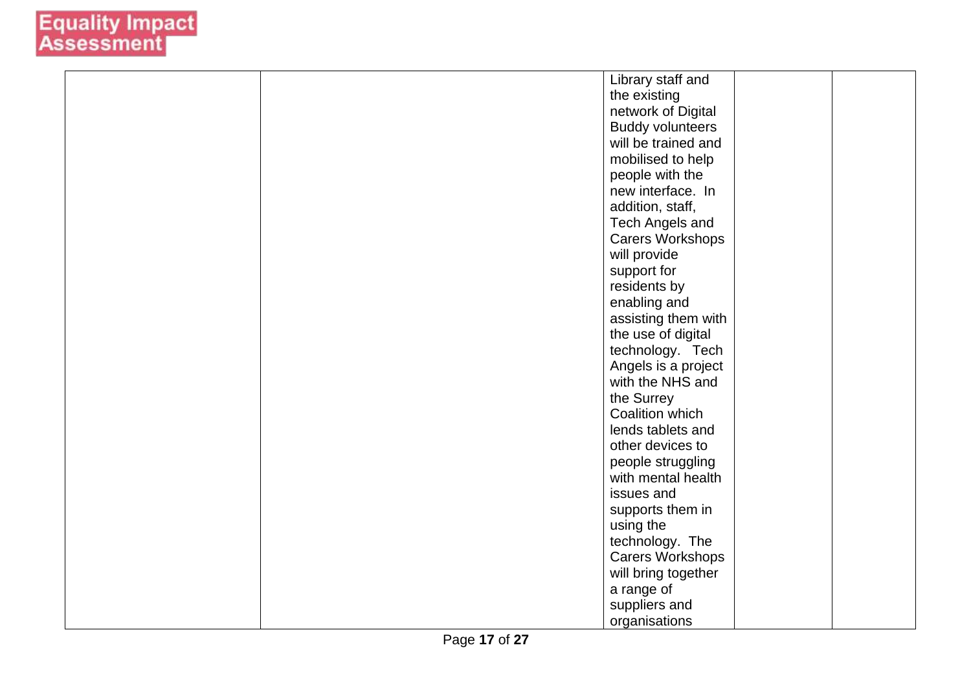| Library staff and       |  |
|-------------------------|--|
| the existing            |  |
| network of Digital      |  |
| <b>Buddy volunteers</b> |  |
| will be trained and     |  |
| mobilised to help       |  |
| people with the         |  |
| new interface. In       |  |
| addition, staff,        |  |
| Tech Angels and         |  |
| Carers Workshops        |  |
| will provide            |  |
| support for             |  |
| residents by            |  |
| enabling and            |  |
| assisting them with     |  |
| the use of digital      |  |
| technology. Tech        |  |
| Angels is a project     |  |
| with the NHS and        |  |
| the Surrey              |  |
| Coalition which         |  |
| lends tablets and       |  |
| other devices to        |  |
| people struggling       |  |
| with mental health      |  |
| issues and              |  |
| supports them in        |  |
| using the               |  |
| technology. The         |  |
| Carers Workshops        |  |
| will bring together     |  |
| a range of              |  |
| suppliers and           |  |
| organisations           |  |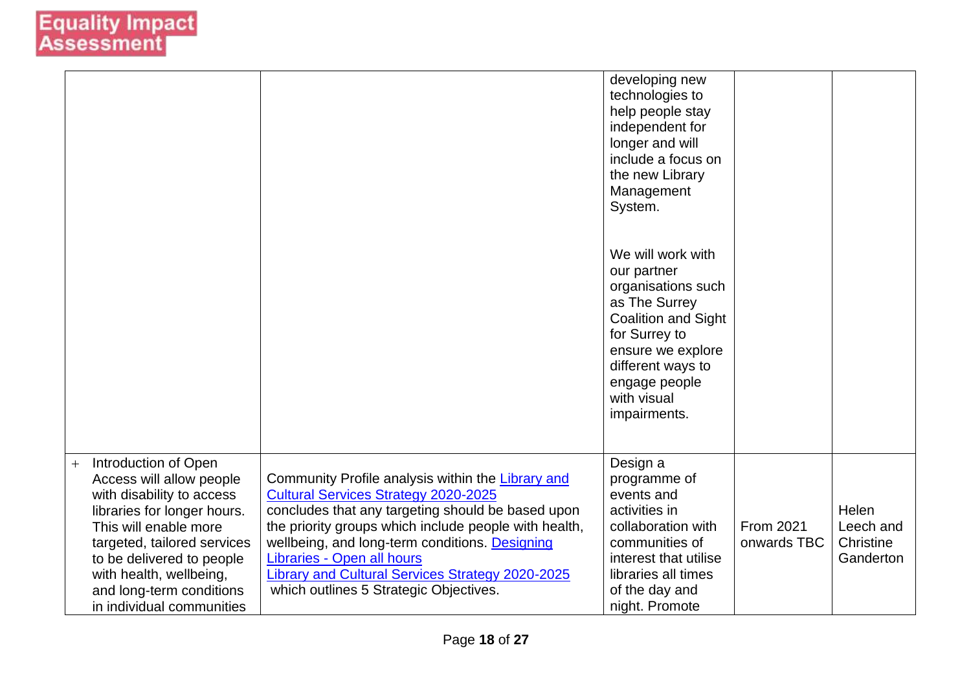|                                                                                                                                                                                                                                                                                              |                                                                                                                                                                                                                                                                                                                                                                                              | developing new<br>technologies to<br>help people stay<br>independent for<br>longer and will<br>include a focus on<br>the new Library<br>Management<br>System.<br>We will work with<br>our partner<br>organisations such<br>as The Surrey<br><b>Coalition and Sight</b><br>for Surrey to<br>ensure we explore<br>different ways to<br>engage people<br>with visual<br>impairments. |                          |                                              |
|----------------------------------------------------------------------------------------------------------------------------------------------------------------------------------------------------------------------------------------------------------------------------------------------|----------------------------------------------------------------------------------------------------------------------------------------------------------------------------------------------------------------------------------------------------------------------------------------------------------------------------------------------------------------------------------------------|-----------------------------------------------------------------------------------------------------------------------------------------------------------------------------------------------------------------------------------------------------------------------------------------------------------------------------------------------------------------------------------|--------------------------|----------------------------------------------|
| Introduction of Open<br>$+$<br>Access will allow people<br>with disability to access<br>libraries for longer hours.<br>This will enable more<br>targeted, tailored services<br>to be delivered to people<br>with health, wellbeing,<br>and long-term conditions<br>in individual communities | Community Profile analysis within the Library and<br><b>Cultural Services Strategy 2020-2025</b><br>concludes that any targeting should be based upon<br>the priority groups which include people with health,<br>wellbeing, and long-term conditions. Designing<br>Libraries - Open all hours<br>Library and Cultural Services Strategy 2020-2025<br>which outlines 5 Strategic Objectives. | Design a<br>programme of<br>events and<br>activities in<br>collaboration with<br>communities of<br>interest that utilise<br>libraries all times<br>of the day and<br>night. Promote                                                                                                                                                                                               | From 2021<br>onwards TBC | Helen<br>Leech and<br>Christine<br>Ganderton |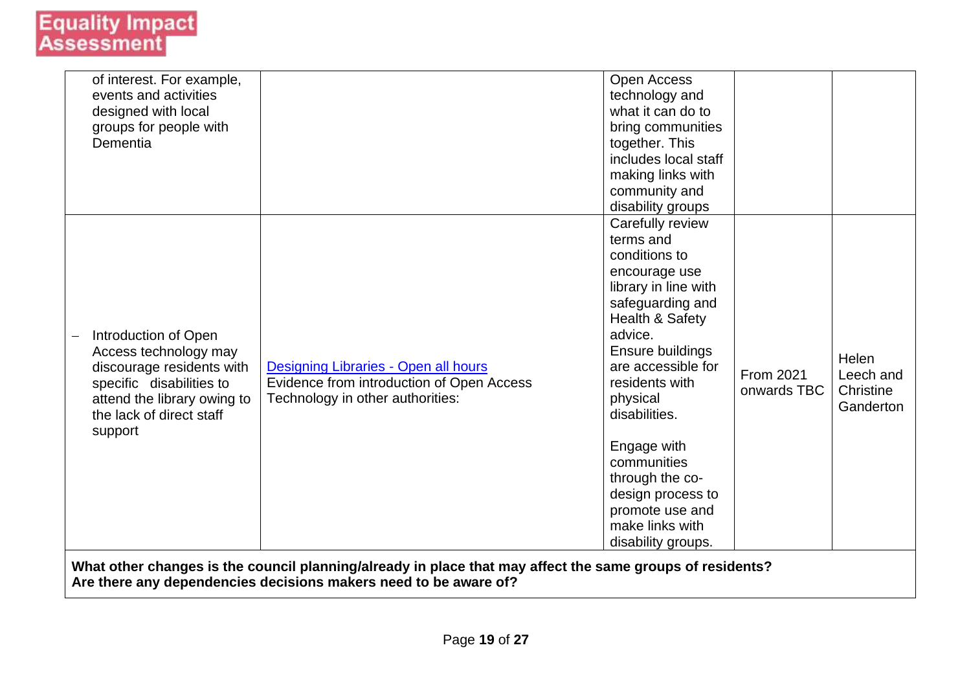| of interest. For example,   |                                                                                                                                                                               | <b>Open Access</b>   |             |           |
|-----------------------------|-------------------------------------------------------------------------------------------------------------------------------------------------------------------------------|----------------------|-------------|-----------|
| events and activities       |                                                                                                                                                                               | technology and       |             |           |
| designed with local         |                                                                                                                                                                               | what it can do to    |             |           |
| groups for people with      |                                                                                                                                                                               | bring communities    |             |           |
| Dementia                    |                                                                                                                                                                               | together. This       |             |           |
|                             |                                                                                                                                                                               | includes local staff |             |           |
|                             |                                                                                                                                                                               | making links with    |             |           |
|                             |                                                                                                                                                                               | community and        |             |           |
|                             |                                                                                                                                                                               | disability groups    |             |           |
|                             |                                                                                                                                                                               | Carefully review     |             |           |
|                             |                                                                                                                                                                               | terms and            |             |           |
|                             |                                                                                                                                                                               | conditions to        |             |           |
|                             |                                                                                                                                                                               | encourage use        |             |           |
|                             |                                                                                                                                                                               | library in line with |             |           |
|                             |                                                                                                                                                                               | safeguarding and     |             |           |
|                             |                                                                                                                                                                               | Health & Safety      |             |           |
| Introduction of Open        |                                                                                                                                                                               | advice.              |             |           |
| Access technology may       |                                                                                                                                                                               | Ensure buildings     |             | Helen     |
| discourage residents with   | Designing Libraries - Open all hours                                                                                                                                          | are accessible for   | From 2021   | Leech and |
| specific disabilities to    | Evidence from introduction of Open Access                                                                                                                                     | residents with       | onwards TBC | Christine |
| attend the library owing to | Technology in other authorities:                                                                                                                                              | physical             |             | Ganderton |
| the lack of direct staff    |                                                                                                                                                                               | disabilities.        |             |           |
| support                     |                                                                                                                                                                               |                      |             |           |
|                             |                                                                                                                                                                               | Engage with          |             |           |
|                             |                                                                                                                                                                               | communities          |             |           |
|                             |                                                                                                                                                                               | through the co-      |             |           |
|                             |                                                                                                                                                                               | design process to    |             |           |
|                             |                                                                                                                                                                               | promote use and      |             |           |
|                             |                                                                                                                                                                               | make links with      |             |           |
|                             |                                                                                                                                                                               |                      |             |           |
|                             |                                                                                                                                                                               | disability groups.   |             |           |
|                             | What other changes is the council planning/already in place that may affect the same groups of residents?<br>Are there any dependencies decisions makers need to be aware of? |                      |             |           |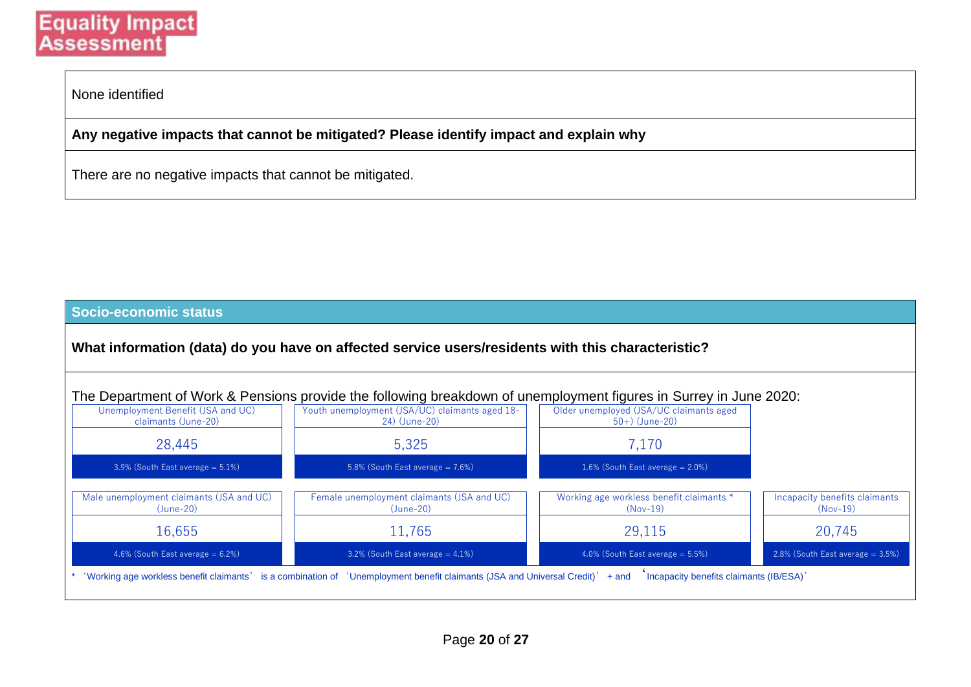None identified

**Any negative impacts that cannot be mitigated? Please identify impact and explain why**

There are no negative impacts that cannot be mitigated.

#### **Socio-economic status**

**What information (data) do you have on affected service users/residents with this characteristic?**



| Unemployment Benefit (JSA and UC)<br>claimants (June-20) | Youth unemployment (JSA/UC) claimants aged 18-<br>24) (June-20) | Older unemployed (JSA/UC claimants aged<br>$50+)$ (June-20) |                                             |
|----------------------------------------------------------|-----------------------------------------------------------------|-------------------------------------------------------------|---------------------------------------------|
| 28,445                                                   | 5,325                                                           | 7,170                                                       |                                             |
| $3.9\%$ (South East average = 5.1%)                      | 5.8% (South East average $= 7.6\%)$                             | 1.6% (South East average $= 2.0\%)$                         |                                             |
| Male unemployment claimants (JSA and UC)<br>$(June-20)$  | Female unemployment claimants (JSA and UC)<br>$(June-20)$       | Working age workless benefit claimants *<br>$(Nov-19)$      | Incapacity benefits claimants<br>$(Nov-19)$ |
| 16,655                                                   | 11,765                                                          | 29.115                                                      | 20,745                                      |
| 4.6% (South East average $= 6.2\%)$                      | $3.2\%$ (South East average = 4.1%)                             | 4.0% (South East average $= 5.5\%)$                         | $2.8\%$ (South East average = 3.5%)         |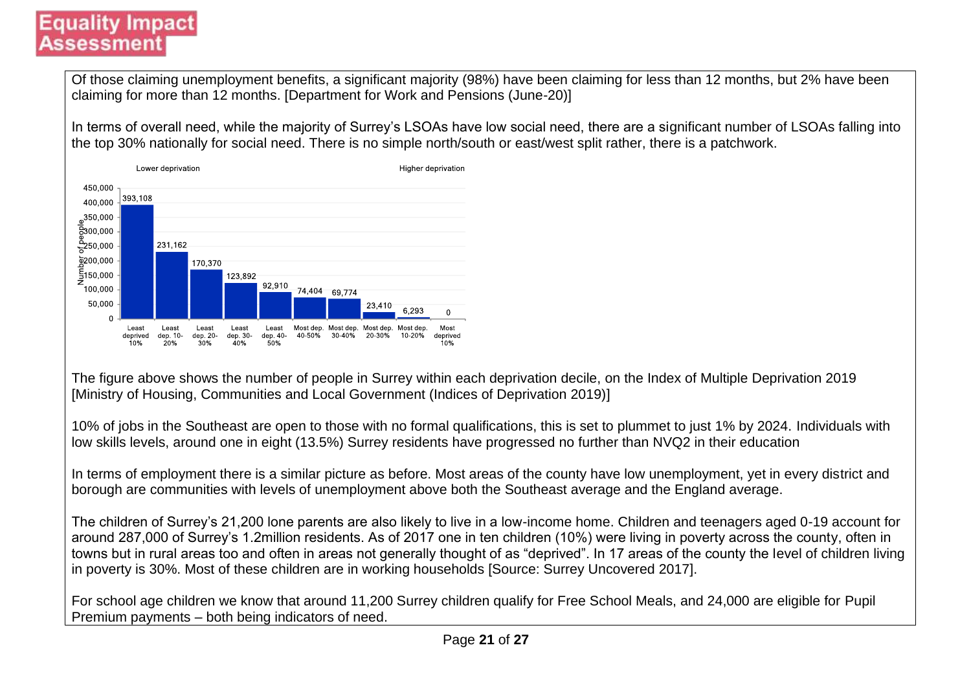### **Equality Impact** Assessmen

Of those claiming unemployment benefits, a significant majority (98%) have been claiming for less than 12 months, but 2% have been claiming for more than 12 months. [Department for Work and Pensions (June-20)]

In terms of overall need, while the majority of Surrey's LSOAs have low social need, there are a significant number of LSOAs falling into the top 30% nationally for social need. There is no simple north/south or east/west split rather, there is a patchwork.



The figure above shows the number of people in Surrey within each deprivation decile, on the Index of Multiple Deprivation 2019 [Ministry of Housing, Communities and Local Government (Indices of Deprivation 2019)]

10% of jobs in the Southeast are open to those with no formal qualifications, this is set to plummet to just 1% by 2024. Individuals with low skills levels, around one in eight (13.5%) Surrey residents have progressed no further than NVQ2 in their education

In terms of employment there is a similar picture as before. Most areas of the county have low unemployment, yet in every district and borough are communities with levels of unemployment above both the Southeast average and the England average.

The children of Surrey's 21,200 lone parents are also likely to live in a low-income home. Children and teenagers aged 0-19 account for around 287,000 of Surrey's 1.2million residents. As of 2017 one in ten children (10%) were living in poverty across the county, often in towns but in rural areas too and often in areas not generally thought of as "deprived". In 17 areas of the county the level of children living in poverty is 30%. Most of these children are in working households [Source: Surrey Uncovered 2017].

For school age children we know that around 11,200 Surrey children qualify for Free School Meals, and 24,000 are eligible for Pupil Premium payments – both being indicators of need.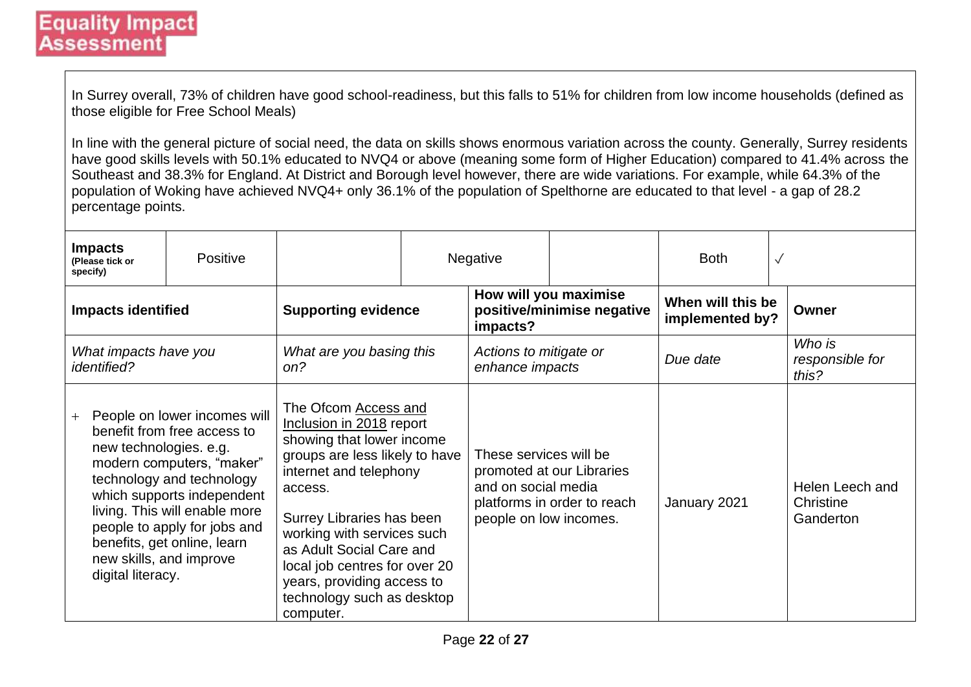In Surrey overall, 73% of children have good school-readiness, but this falls to 51% for children from low income households (defined as those eligible for Free School Meals)

In line with the general picture of social need, the data on skills shows enormous variation across the county. Generally, Surrey residents have good skills levels with 50.1% educated to NVQ4 or above (meaning some form of Higher Education) compared to 41.4% across the Southeast and 38.3% for England. At District and Borough level however, there are wide variations. For example, while 64.3% of the population of Woking have achieved NVQ4+ only 36.1% of the population of Spelthorne are educated to that level - a gap of 28.2 percentage points.

| <b>Impacts</b><br>(Please tick or<br>specify)                                 | <b>Positive</b>                                                                                                                                                                                                                                     |                                                                                                                                                                                                                                                                                                                                                       |                                           | <b>Negative</b>                                                         |                                                          | <b>Both</b>                          | $\checkmark$                              |
|-------------------------------------------------------------------------------|-----------------------------------------------------------------------------------------------------------------------------------------------------------------------------------------------------------------------------------------------------|-------------------------------------------------------------------------------------------------------------------------------------------------------------------------------------------------------------------------------------------------------------------------------------------------------------------------------------------------------|-------------------------------------------|-------------------------------------------------------------------------|----------------------------------------------------------|--------------------------------------|-------------------------------------------|
| <b>Impacts identified</b>                                                     |                                                                                                                                                                                                                                                     | <b>Supporting evidence</b>                                                                                                                                                                                                                                                                                                                            |                                           | impacts?                                                                | How will you maximise<br>positive/minimise negative      | When will this be<br>implemented by? | Owner                                     |
| What impacts have you<br><i>identified?</i>                                   |                                                                                                                                                                                                                                                     | What are you basing this<br>on?                                                                                                                                                                                                                                                                                                                       | Actions to mitigate or<br>enhance impacts |                                                                         | Due date                                                 |                                      | Who is<br>responsible for<br>this?        |
| $+$<br>new technologies. e.g.<br>new skills, and improve<br>digital literacy. | People on lower incomes will<br>benefit from free access to<br>modern computers, "maker"<br>technology and technology<br>which supports independent<br>living. This will enable more<br>people to apply for jobs and<br>benefits, get online, learn | The Ofcom Access and<br>Inclusion in 2018 report<br>showing that lower income<br>groups are less likely to have<br>internet and telephony<br>access.<br>Surrey Libraries has been<br>working with services such<br>as Adult Social Care and<br>local job centres for over 20<br>years, providing access to<br>technology such as desktop<br>computer. |                                           | These services will be<br>and on social media<br>people on low incomes. | promoted at our Libraries<br>platforms in order to reach | January 2021                         | Helen Leech and<br>Christine<br>Ganderton |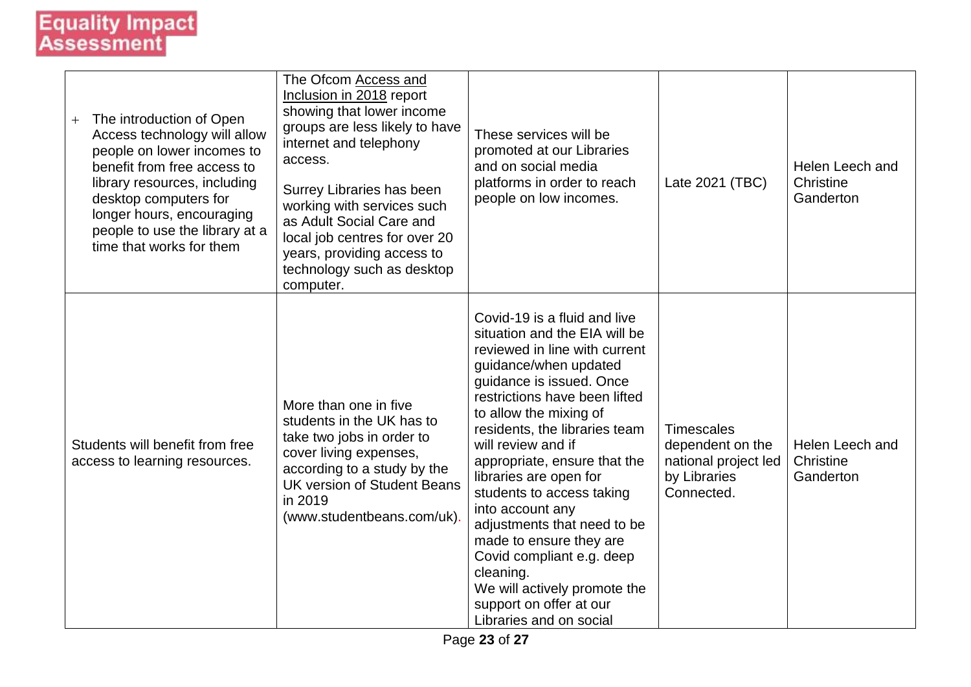| The introduction of Open<br>$+$<br>Access technology will allow<br>people on lower incomes to<br>benefit from free access to<br>library resources, including<br>desktop computers for<br>longer hours, encouraging<br>people to use the library at a<br>time that works for them | The Ofcom Access and<br>Inclusion in 2018 report<br>showing that lower income<br>groups are less likely to have<br>internet and telephony<br>access.<br>Surrey Libraries has been<br>working with services such<br>as Adult Social Care and<br>local job centres for over 20<br>years, providing access to<br>technology such as desktop<br>computer. | These services will be<br>promoted at our Libraries<br>and on social media<br>platforms in order to reach<br>people on low incomes.                                                                                                                                                                                                                                                                                                                                                                                                                                        | Late 2021 (TBC)                                                                             | Helen Leech and<br>Christine<br>Ganderton |
|----------------------------------------------------------------------------------------------------------------------------------------------------------------------------------------------------------------------------------------------------------------------------------|-------------------------------------------------------------------------------------------------------------------------------------------------------------------------------------------------------------------------------------------------------------------------------------------------------------------------------------------------------|----------------------------------------------------------------------------------------------------------------------------------------------------------------------------------------------------------------------------------------------------------------------------------------------------------------------------------------------------------------------------------------------------------------------------------------------------------------------------------------------------------------------------------------------------------------------------|---------------------------------------------------------------------------------------------|-------------------------------------------|
| Students will benefit from free<br>access to learning resources.                                                                                                                                                                                                                 | More than one in five<br>students in the UK has to<br>take two jobs in order to<br>cover living expenses,<br>according to a study by the<br><b>UK version of Student Beans</b><br>in 2019<br>(www.studentbeans.com/uk).                                                                                                                               | Covid-19 is a fluid and live<br>situation and the EIA will be<br>reviewed in line with current<br>guidance/when updated<br>guidance is issued. Once<br>restrictions have been lifted<br>to allow the mixing of<br>residents, the libraries team<br>will review and if<br>appropriate, ensure that the<br>libraries are open for<br>students to access taking<br>into account any<br>adjustments that need to be<br>made to ensure they are<br>Covid compliant e.g. deep<br>cleaning.<br>We will actively promote the<br>support on offer at our<br>Libraries and on social | <b>Timescales</b><br>dependent on the<br>national project led<br>by Libraries<br>Connected. | Helen Leech and<br>Christine<br>Ganderton |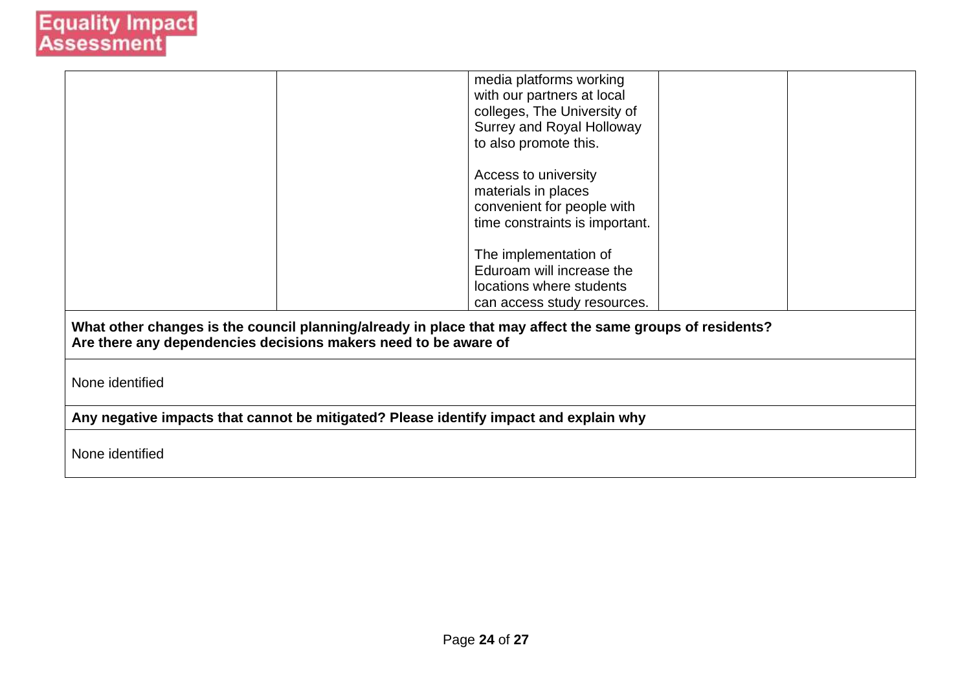|                                                                                                                                                                              | media platforms working<br>with our partners at local<br>colleges, The University of<br>Surrey and Royal Holloway<br>to also promote this. |  |  |  |
|------------------------------------------------------------------------------------------------------------------------------------------------------------------------------|--------------------------------------------------------------------------------------------------------------------------------------------|--|--|--|
|                                                                                                                                                                              | Access to university<br>materials in places<br>convenient for people with<br>time constraints is important.                                |  |  |  |
|                                                                                                                                                                              | The implementation of<br>Eduroam will increase the<br>locations where students<br>can access study resources.                              |  |  |  |
| What other changes is the council planning/already in place that may affect the same groups of residents?<br>Are there any dependencies decisions makers need to be aware of |                                                                                                                                            |  |  |  |
| None identified                                                                                                                                                              |                                                                                                                                            |  |  |  |
| Any negative impacts that cannot be mitigated? Please identify impact and explain why                                                                                        |                                                                                                                                            |  |  |  |
| None identified                                                                                                                                                              |                                                                                                                                            |  |  |  |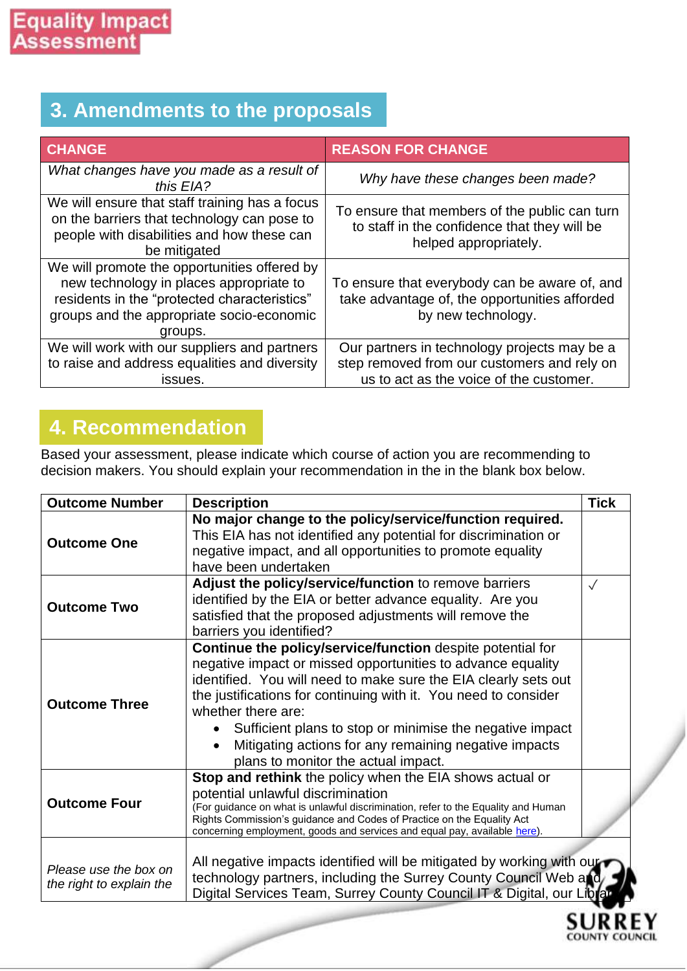# **3. Amendments to the proposals**

| <b>CHANGE</b>                                                                                                                                                                                   | <b>REASON FOR CHANGE</b>                                                                                                               |
|-------------------------------------------------------------------------------------------------------------------------------------------------------------------------------------------------|----------------------------------------------------------------------------------------------------------------------------------------|
| What changes have you made as a result of<br>this EIA?                                                                                                                                          | Why have these changes been made?                                                                                                      |
| We will ensure that staff training has a focus<br>on the barriers that technology can pose to<br>people with disabilities and how these can<br>be mitigated                                     | To ensure that members of the public can turn<br>to staff in the confidence that they will be<br>helped appropriately.                 |
| We will promote the opportunities offered by<br>new technology in places appropriate to<br>residents in the "protected characteristics"<br>groups and the appropriate socio-economic<br>groups. | To ensure that everybody can be aware of, and<br>take advantage of, the opportunities afforded<br>by new technology.                   |
| We will work with our suppliers and partners<br>to raise and address equalities and diversity<br>issues.                                                                                        | Our partners in technology projects may be a<br>step removed from our customers and rely on<br>us to act as the voice of the customer. |

## **4. Recommendation**

Based your assessment, please indicate which course of action you are recommending to decision makers. You should explain your recommendation in the in the blank box below.

| <b>Outcome Number</b>                             | <b>Description</b>                                                                                                                                                                                                                                                                                                                                                                                                                                | <b>Tick</b> |
|---------------------------------------------------|---------------------------------------------------------------------------------------------------------------------------------------------------------------------------------------------------------------------------------------------------------------------------------------------------------------------------------------------------------------------------------------------------------------------------------------------------|-------------|
| <b>Outcome One</b>                                | No major change to the policy/service/function required.<br>This EIA has not identified any potential for discrimination or<br>negative impact, and all opportunities to promote equality<br>have been undertaken                                                                                                                                                                                                                                 |             |
| <b>Outcome Two</b>                                | Adjust the policy/service/function to remove barriers<br>identified by the EIA or better advance equality. Are you<br>satisfied that the proposed adjustments will remove the<br>barriers you identified?                                                                                                                                                                                                                                         | $\sqrt{}$   |
| <b>Outcome Three</b>                              | Continue the policy/service/function despite potential for<br>negative impact or missed opportunities to advance equality<br>identified. You will need to make sure the EIA clearly sets out<br>the justifications for continuing with it. You need to consider<br>whether there are:<br>Sufficient plans to stop or minimise the negative impact<br>Mitigating actions for any remaining negative impacts<br>plans to monitor the actual impact. |             |
| <b>Outcome Four</b>                               | Stop and rethink the policy when the EIA shows actual or<br>potential unlawful discrimination<br>(For guidance on what is unlawful discrimination, refer to the Equality and Human<br>Rights Commission's guidance and Codes of Practice on the Equality Act<br>concerning employment, goods and services and equal pay, available here).                                                                                                         |             |
| Please use the box on<br>the right to explain the | All negative impacts identified will be mitigated by working with our<br>technology partners, including the Surrey County Council Web and<br>Digital Services Team, Surrey County Council IT & Digital, our Librar                                                                                                                                                                                                                                |             |
|                                                   |                                                                                                                                                                                                                                                                                                                                                                                                                                                   |             |

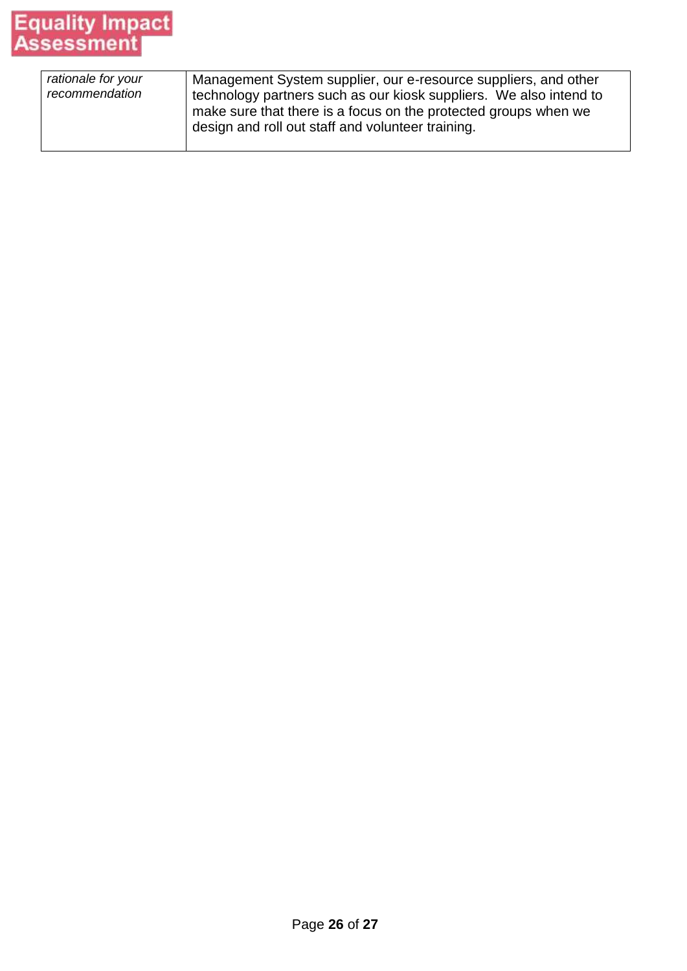# **Equality Impact**<br>Assessment

| rationale for your<br>recommendation | Management System supplier, our e-resource suppliers, and other<br>technology partners such as our kiosk suppliers. We also intend to<br>make sure that there is a focus on the protected groups when we<br>design and roll out staff and volunteer training. |
|--------------------------------------|---------------------------------------------------------------------------------------------------------------------------------------------------------------------------------------------------------------------------------------------------------------|